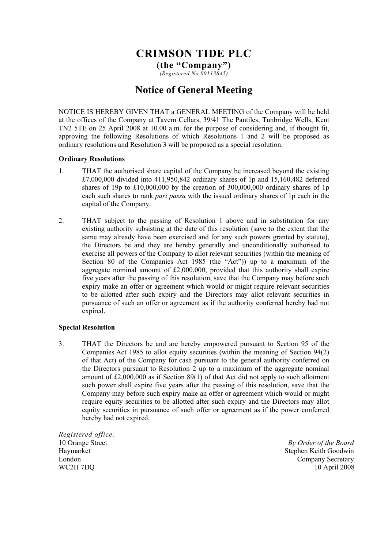# **CRIMSON TIDE PLC**

**(the "Company")**  *(Registered No 00113845)* 

## **Notice of General Meeting**

NOTICE IS HEREBY GIVEN THAT a GENERAL MEETING of the Company will be held at the offices of the Company at Tavern Cellars, 39/41 The Pantiles, Tunbridge Wells, Kent TN2 5TE on 25 April 2008 at 10.00 a.m. for the purpose of considering and, if thought fit, approving the following Resolutions of which Resolutions 1 and 2 will be proposed as ordinary resolutions and Resolution 3 will be proposed as a special resolution.

### **Ordinary Resolutions**

- 1. THAT the authorised share capital of the Company be increased beyond the existing £7,000,000 divided into 411,950,842 ordinary shares of 1p and 15,160,482 deferred shares of 19p to £10,000,000 by the creation of 300,000,000 ordinary shares of 1p each such shares to rank *pari passu* with the issued ordinary shares of 1p each in the capital of the Company.
- 2. THAT subject to the passing of Resolution 1 above and in substitution for any existing authority subsisting at the date of this resolution (save to the extent that the same may already have been exercised and for any such powers granted by statute), the Directors be and they are hereby generally and unconditionally authorised to exercise all powers of the Company to allot relevant securities (within the meaning of Section 80 of the Companies Act 1985 (the "Act")) up to a maximum of the aggregate nominal amount of £2,000,000, provided that this authority shall expire five years after the passing of this resolution, save that the Company may before such expiry make an offer or agreement which would or might require relevant securities to be allotted after such expiry and the Directors may allot relevant securities in pursuance of such an offer or agreement as if the authority conferred hereby had not expired.

### **Special Resolution**

3. THAT the Directors be and are hereby empowered pursuant to Section 95 of the Companies Act 1985 to allot equity securities (within the meaning of Section 94(2) of that Act) of the Company for cash pursuant to the general authority conferred on the Directors pursuant to Resolution 2 up to a maximum of the aggregate nominal amount of £2,000,000 as if Section 89(1) of that Act did not apply to such allotment such power shall expire five years after the passing of this resolution, save that the Company may before such expiry make an offer or agreement which would or might require equity securities to be allotted after such expiry and the Directors may allot equity securities in pursuance of such offer or agreement as if the power conferred hereby had not expired.

*Registered office:*  10 Orange Street Haymarket London WC2H 7DQ

 *By Order of the Board* Stephen Keith Goodwin Company Secretary 10 April 2008